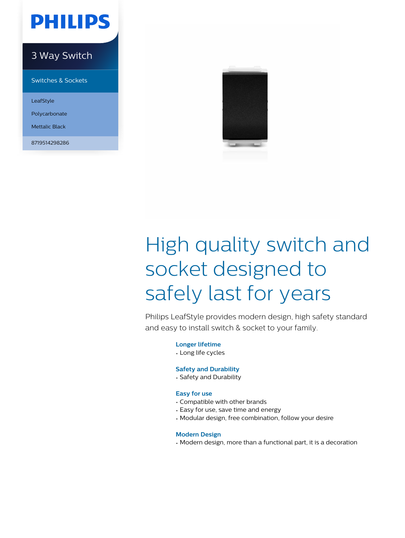

### 3 Way Switch

Switches & Sockets

LeafStyle

Polycarbonate

Mettalic Black

8719514298286



# High quality switch and socket designed to safely last for years

Philips LeafStyle provides modern design, high safety standard and easy to install switch & socket to your family.

**Longer lifetime**

• Long life cycles

#### **Safety and Durability**

• Safety and Durability

#### **Easy for use**

- Compatible with other brands
- Easy for use, save time and energy
- Modular design, free combination, follow your desire

#### **Modern Design**

• Modern design, more than a functional part, it is a decoration